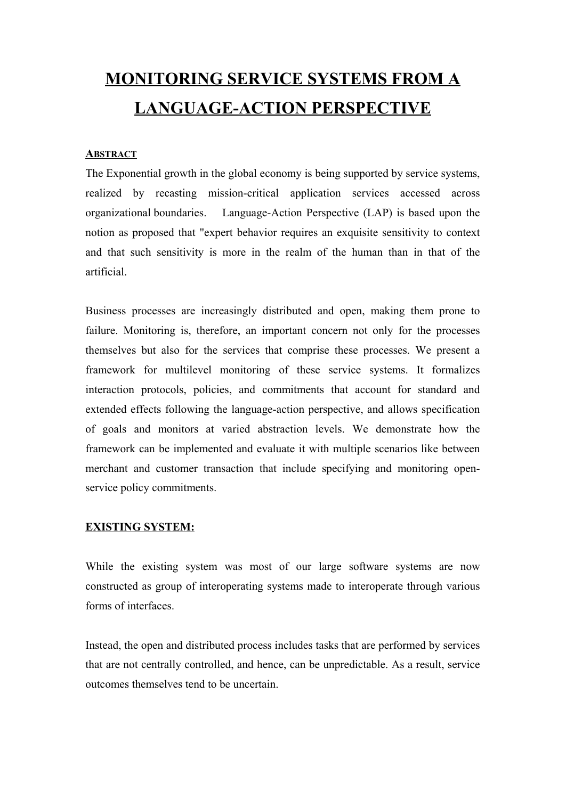# **MONITORING SERVICE SYSTEMS FROM A LANGUAGE-ACTION PERSPECTIVE**

#### **ABSTRACT**

The Exponential growth in the global economy is being supported by service systems, realized by recasting mission-critical application services accessed across organizational boundaries. Language-Action Perspective (LAP) is based upon the notion as proposed that "expert behavior requires an exquisite sensitivity to context and that such sensitivity is more in the realm of the [human](http://en.wikipedia.org/wiki/Human) than in that of the [artificial.](http://en.wikipedia.org/wiki/Artificial_intelligence)

Business processes are increasingly distributed and open, making them prone to failure. Monitoring is, therefore, an important concern not only for the processes themselves but also for the services that comprise these processes. We present a framework for multilevel monitoring of these service systems. It formalizes interaction protocols, policies, and commitments that account for standard and extended effects following the language-action perspective, and allows specification of goals and monitors at varied abstraction levels. We demonstrate how the framework can be implemented and evaluate it with multiple scenarios like between merchant and customer transaction that include specifying and monitoring openservice policy commitments.

#### **EXISTING SYSTEM:**

While the existing system was most of our large software systems are now constructed as group of interoperating systems made to interoperate through various forms of interfaces.

Instead, the open and distributed process includes tasks that are performed by services that are not centrally controlled, and hence, can be unpredictable. As a result, service outcomes themselves tend to be uncertain.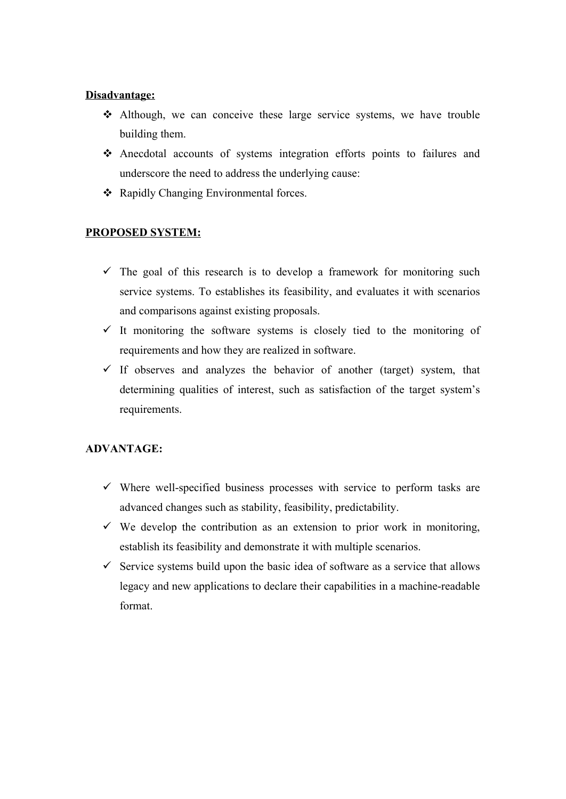#### **Disadvantage:**

- $\triangle$  Although, we can conceive these large service systems, we have trouble building them.
- $\triangle$  Anecdotal accounts of systems integration efforts points to failures and underscore the need to address the underlying cause:
- ❖ Rapidly Changing Environmental forces.

### **PROPOSED SYSTEM:**

- $\checkmark$  The goal of this research is to develop a framework for monitoring such service systems. To establishes its feasibility, and evaluates it with scenarios and comparisons against existing proposals.
- $\checkmark$  It monitoring the software systems is closely tied to the monitoring of requirements and how they are realized in software.
- $\checkmark$  If observes and analyzes the behavior of another (target) system, that determining qualities of interest, such as satisfaction of the target system's requirements.

## **ADVANTAGE:**

- $\checkmark$  Where well-specified business processes with service to perform tasks are advanced changes such as stability, feasibility, predictability.
- $\checkmark$  We develop the contribution as an extension to prior work in monitoring, establish its feasibility and demonstrate it with multiple scenarios.
- $\checkmark$  Service systems build upon the basic idea of software as a service that allows legacy and new applications to declare their capabilities in a machine-readable format.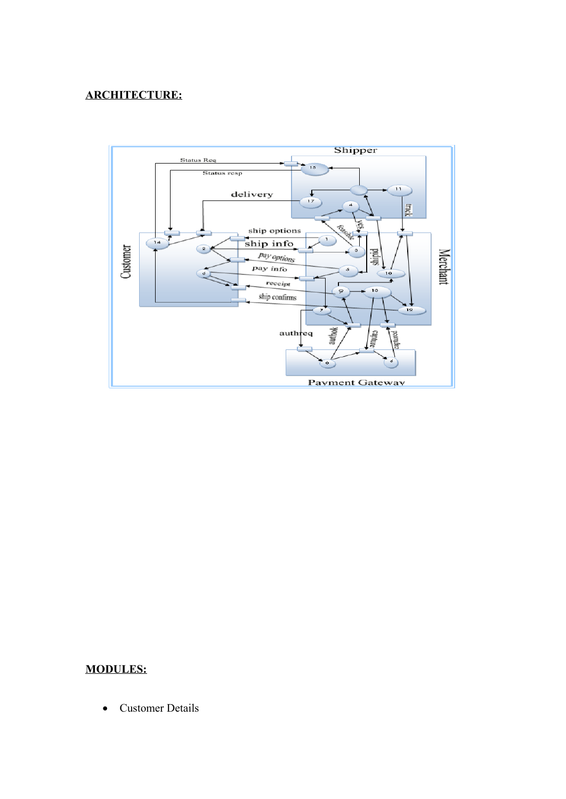## **ARCHITECTURE:**



## **MODULES:**

• Customer Details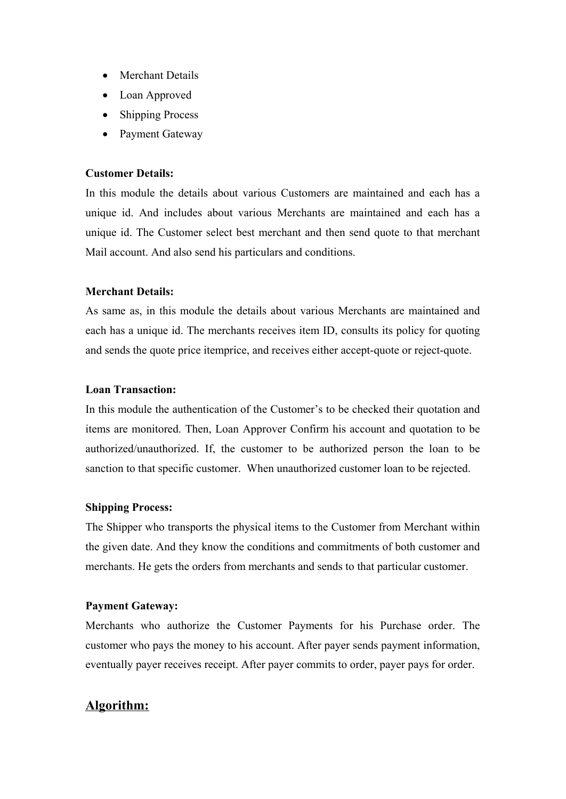- Merchant Details
- Loan Approved
- **Shipping Process**
- Payment Gateway

#### **Customer Details:**

In this module the details about various Customers are maintained and each has a unique id. And includes about various Merchants are maintained and each has a unique id. The Customer select best merchant and then send quote to that merchant Mail account. And also send his particulars and conditions.

#### **Merchant Details:**

As same as, in this module the details about various Merchants are maintained and each has a unique id. The merchants receives item ID, consults its policy for quoting and sends the quote price itemprice, and receives either accept-quote or reject-quote.

#### **Loan Transaction:**

In this module the authentication of the Customer's to be checked their quotation and items are monitored. Then, Loan Approver Confirm his account and quotation to be authorized/unauthorized. If, the customer to be authorized person the loan to be sanction to that specific customer. When unauthorized customer loan to be rejected.

#### **Shipping Process:**

The Shipper who transports the physical items to the Customer from Merchant within the given date. And they know the conditions and commitments of both customer and merchants. He gets the orders from merchants and sends to that particular customer.

#### **Payment Gateway:**

Merchants who authorize the Customer Payments for his Purchase order. The customer who pays the money to his account. After payer sends payment information, eventually payer receives receipt. After payer commits to order, payer pays for order.

## **Algorithm:**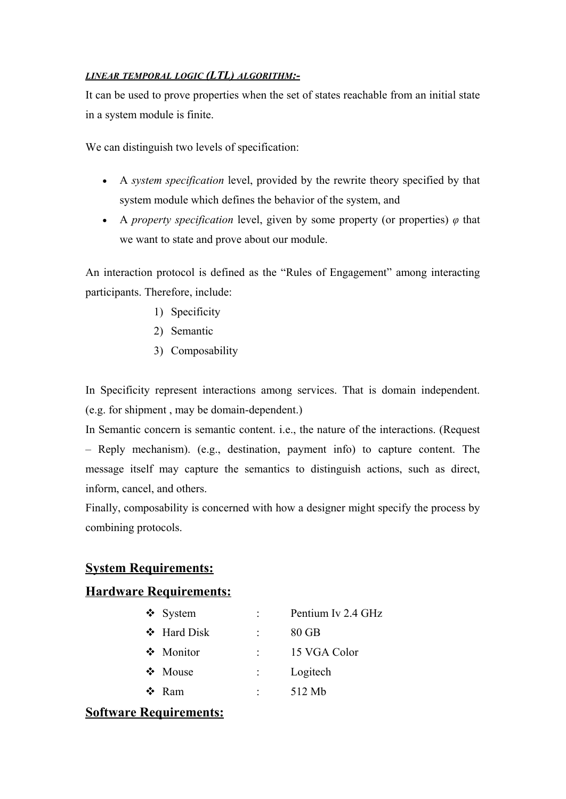#### *LINEAR TEMPORAL LOGIC (LTL) ALGORITHM:-*

It can be used to prove properties when the set of states reachable from an initial state in a system module is finite.

We can distinguish two levels of specification:

- · A *system specification* level, provided by the rewrite theory specified by that system module which defines the behavior of the system, and
- A *property specification* level, given by some property (or properties)  $\varphi$  that we want to state and prove about our module.

An interaction protocol is defined as the "Rules of Engagement" among interacting participants. Therefore, include:

- 1) Specificity
- 2) Semantic
- 3) Composability

In Specificity represent interactions among services. That is domain independent. (e.g. for shipment , may be domain-dependent.)

In Semantic concern is semantic content. i.e., the nature of the interactions. (Request - Reply mechanism). (e.g., destination, payment info) to capture content. The message itself may capture the semantics to distinguish actions, such as direct, inform, cancel, and others.

Finally, composability is concerned with how a designer might specify the process by combining protocols.

## **System Requirements:**

## **Hardware Requirements:**

| $\div$ System    | Pentium Iv 2.4 GHz |
|------------------|--------------------|
| $\div$ Hard Disk | $80$ GB            |
| ❖ Monitor        | 15 VGA Color       |
| $\div$ Mouse     | Logitech           |
| Ram              | 512 Mb             |
|                  |                    |

## **Software Requirements:**